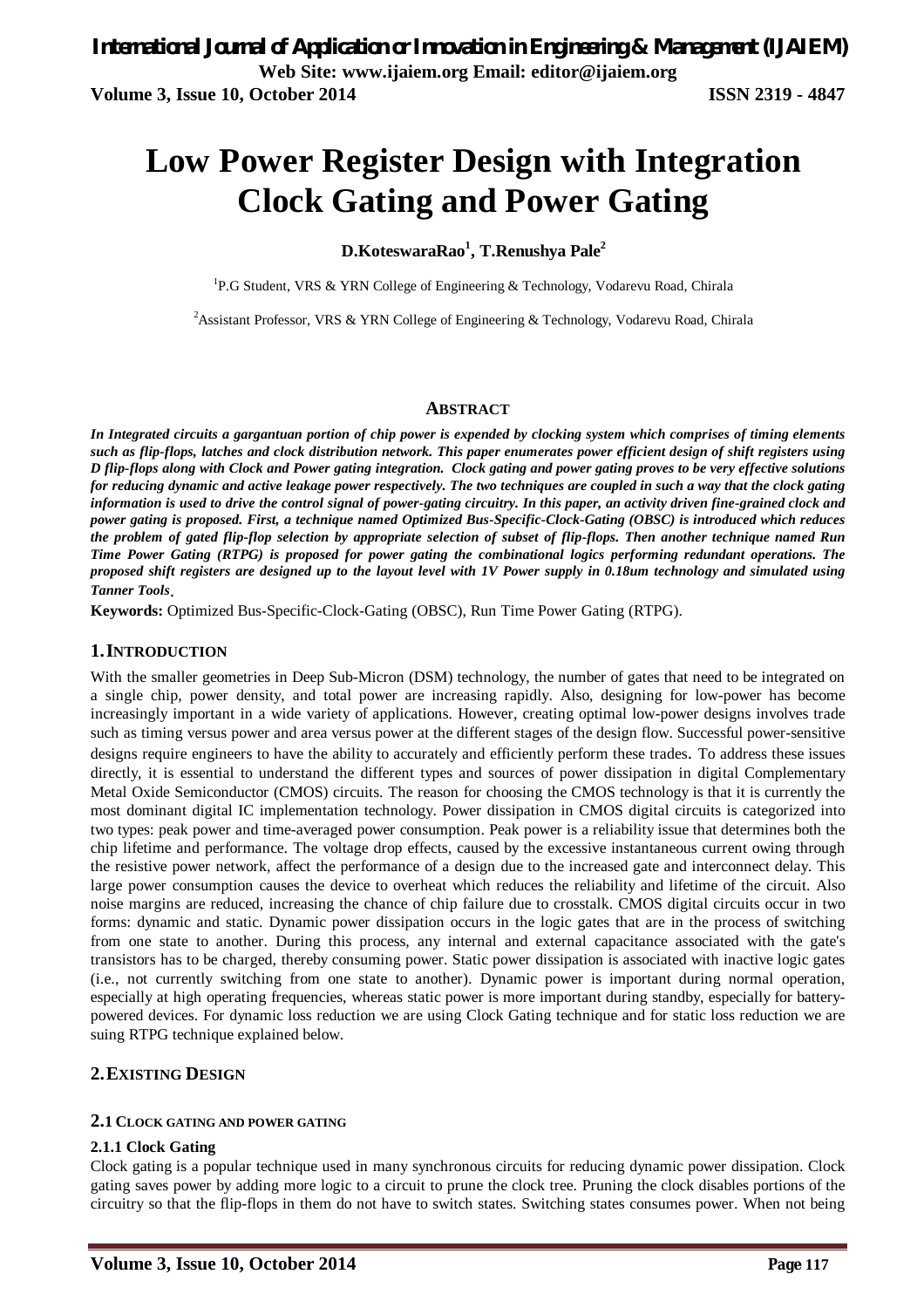# **Low Power Register Design with Integration Clock Gating and Power Gating**

### **D.KoteswaraRao<sup>1</sup> , T.Renushya Pale<sup>2</sup>**

<sup>1</sup>P.G Student, VRS & YRN College of Engineering & Technology, Vodarevu Road, Chirala

<sup>2</sup>Assistant Professor, VRS & YRN College of Engineering & Technology, Vodarevu Road, Chirala

#### **ABSTRACT**

*In Integrated circuits a gargantuan portion of chip power is expended by clocking system which comprises of timing elements such as flip-flops, latches and clock distribution network. This paper enumerates power efficient design of shift registers using D flip-flops along with Clock and Power gating integration. Clock gating and power gating proves to be very effective solutions for reducing dynamic and active leakage power respectively. The two techniques are coupled in such a way that the clock gating information is used to drive the control signal of power-gating circuitry. In this paper, an activity driven fine-grained clock and power gating is proposed. First, a technique named Optimized Bus-Specific-Clock-Gating (OBSC) is introduced which reduces the problem of gated flip-flop selection by appropriate selection of subset of flip-flops. Then another technique named Run Time Power Gating (RTPG) is proposed for power gating the combinational logics performing redundant operations. The proposed shift registers are designed up to the layout level with 1V Power supply in 0.18um technology and simulated using Tanner Tools*.

**Keywords:** Optimized Bus-Specific-Clock-Gating (OBSC), Run Time Power Gating (RTPG).

#### **1.INTRODUCTION**

With the smaller geometries in Deep Sub-Micron (DSM) technology, the number of gates that need to be integrated on a single chip, power density, and total power are increasing rapidly. Also, designing for low-power has become increasingly important in a wide variety of applications. However, creating optimal low-power designs involves trade such as timing versus power and area versus power at the different stages of the design flow. Successful power-sensitive designs require engineers to have the ability to accurately and efficiently perform these trades. To address these issues directly, it is essential to understand the different types and sources of power dissipation in digital Complementary Metal Oxide Semiconductor (CMOS) circuits. The reason for choosing the CMOS technology is that it is currently the most dominant digital IC implementation technology. Power dissipation in CMOS digital circuits is categorized into two types: peak power and time-averaged power consumption. Peak power is a reliability issue that determines both the chip lifetime and performance. The voltage drop effects, caused by the excessive instantaneous current owing through the resistive power network, affect the performance of a design due to the increased gate and interconnect delay. This large power consumption causes the device to overheat which reduces the reliability and lifetime of the circuit. Also noise margins are reduced, increasing the chance of chip failure due to crosstalk. CMOS digital circuits occur in two forms: dynamic and static. Dynamic power dissipation occurs in the logic gates that are in the process of switching from one state to another. During this process, any internal and external capacitance associated with the gate's transistors has to be charged, thereby consuming power. Static power dissipation is associated with inactive logic gates (i.e., not currently switching from one state to another). Dynamic power is important during normal operation, especially at high operating frequencies, whereas static power is more important during standby, especially for batterypowered devices. For dynamic loss reduction we are using Clock Gating technique and for static loss reduction we are suing RTPG technique explained below.

### **2.EXISTING DESIGN**

#### **2.1 CLOCK GATING AND POWER GATING**

#### **2.1.1 Clock Gating**

Clock gating is a popular technique used in many synchronous circuits for reducing dynamic power dissipation. Clock gating saves power by adding more logic to a circuit to prune the clock tree. Pruning the clock disables portions of the circuitry so that the flip-flops in them do not have to switch states. Switching states consumes power. When not being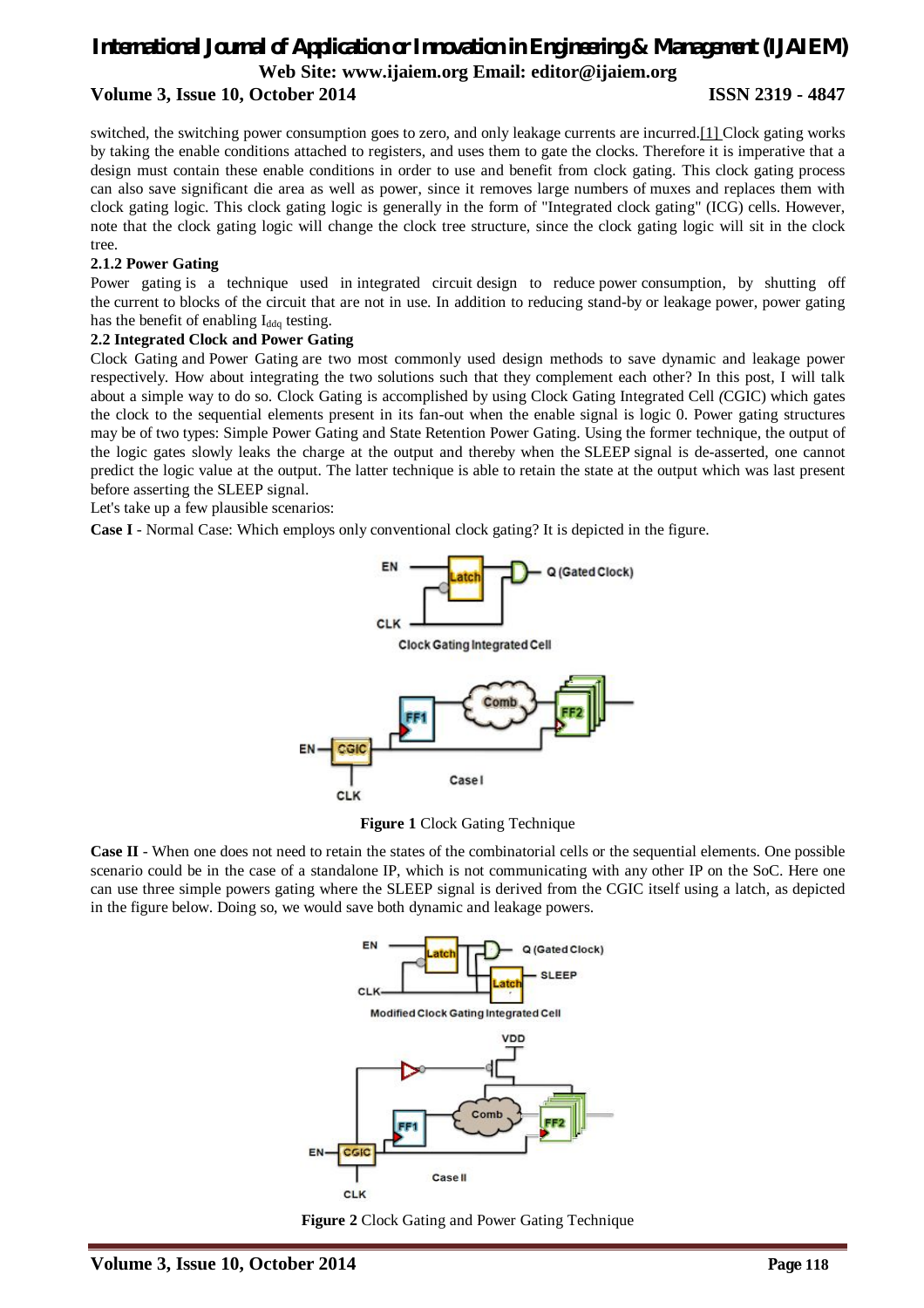switched, the switching power consumption goes to zero, and only leakage currents are incurred.[1] Clock gating works by taking the enable conditions attached to registers, and uses them to gate the clocks. Therefore it is imperative that a design must contain these enable conditions in order to use and benefit from clock gating. This clock gating process can also save significant die area as well as power, since it removes large numbers of muxes and replaces them with clock gating logic. This clock gating logic is generally in the form of "Integrated clock gating" (ICG) cells. However, note that the clock gating logic will change the clock tree structure, since the clock gating logic will sit in the clock tree.

#### **2.1.2 Power Gating**

Power gating is a technique used in integrated circuit design to reduce power consumption, by shutting off the current to blocks of the circuit that are not in use. In addition to reducing stand-by or leakage power, power gating has the benefit of enabling  $I_{ddq}$  testing.

#### **2.2 Integrated Clock and Power Gating**

Clock Gating and Power Gating are two most commonly used design methods to save dynamic and leakage power respectively. How about integrating the two solutions such that they complement each other? In this post, I will talk about a simple way to do so. Clock Gating is accomplished by using Clock Gating Integrated Cell *(*CGIC) which gates the clock to the sequential elements present in its fan-out when the enable signal is logic 0. Power gating structures may be of two types: Simple Power Gating and State Retention Power Gating. Using the former technique, the output of the logic gates slowly leaks the charge at the output and thereby when the SLEEP signal is de-asserted, one cannot predict the logic value at the output. The latter technique is able to retain the state at the output which was last present before asserting the SLEEP signal.

Let's take up a few plausible scenarios:

**Case I** - Normal Case: Which employs only conventional clock gating? It is depicted in the figure.





**Figure 1** Clock Gating Technique

**Case II** - When one does not need to retain the states of the combinatorial cells or the sequential elements. One possible scenario could be in the case of a standalone IP, which is not communicating with any other IP on the SoC. Here one can use three simple powers gating where the SLEEP signal is derived from the CGIC itself using a latch, as depicted in the figure below. Doing so, we would save both dynamic and leakage powers.



**Figure 2** Clock Gating and Power Gating Technique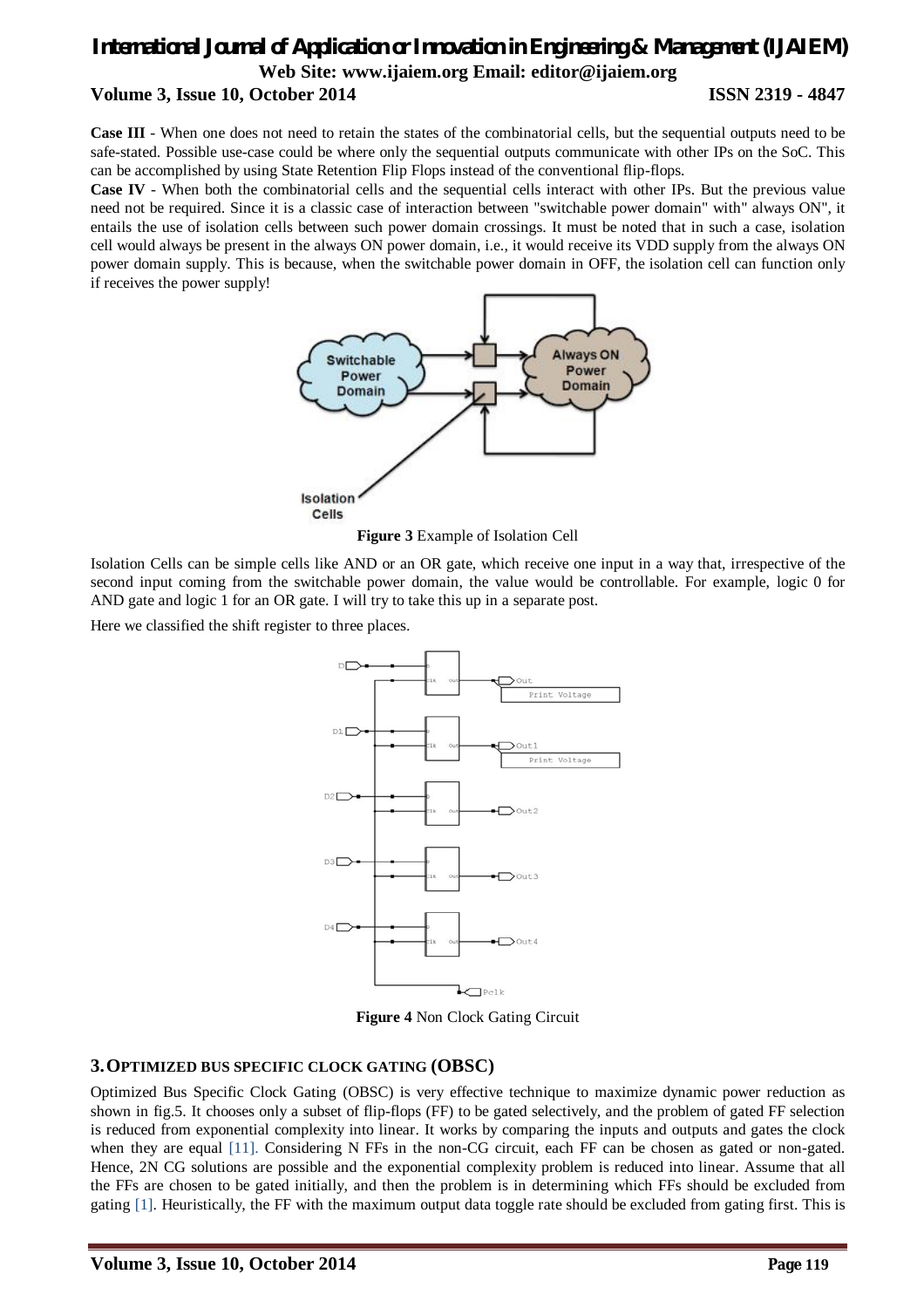**Case III** - When one does not need to retain the states of the combinatorial cells, but the sequential outputs need to be safe-stated. Possible use-case could be where only the sequential outputs communicate with other IPs on the SoC. This can be accomplished by using State Retention Flip Flops instead of the conventional flip-flops.

**Case IV** - When both the combinatorial cells and the sequential cells interact with other IPs. But the previous value need not be required. Since it is a classic case of interaction between "switchable power domain" with" always ON", it entails the use of isolation cells between such power domain crossings. It must be noted that in such a case, isolation cell would always be present in the always ON power domain, i.e., it would receive its VDD supply from the always ON power domain supply. This is because, when the switchable power domain in OFF, the isolation cell can function only if receives the power supply!



**Figure 3** Example of Isolation Cell

Isolation Cells can be simple cells like AND or an OR gate, which receive one input in a way that, irrespective of the second input coming from the switchable power domain, the value would be controllable. For example, logic 0 for AND gate and logic 1 for an OR gate. I will try to take this up in a separate post.

Here we classified the shift register to three places.



**Figure 4** Non Clock Gating Circuit

### **3.OPTIMIZED BUS SPECIFIC CLOCK GATING (OBSC)**

Optimized Bus Specific Clock Gating (OBSC) is very effective technique to maximize dynamic power reduction as shown in fig.5. It chooses only a subset of flip-flops (FF) to be gated selectively, and the problem of gated FF selection is reduced from exponential complexity into linear. It works by comparing the inputs and outputs and gates the clock when they are equal [11]. Considering N FFs in the non-CG circuit, each FF can be chosen as gated or non-gated. Hence, 2N CG solutions are possible and the exponential complexity problem is reduced into linear. Assume that all the FFs are chosen to be gated initially, and then the problem is in determining which FFs should be excluded from gating [1]. Heuristically, the FF with the maximum output data toggle rate should be excluded from gating first. This is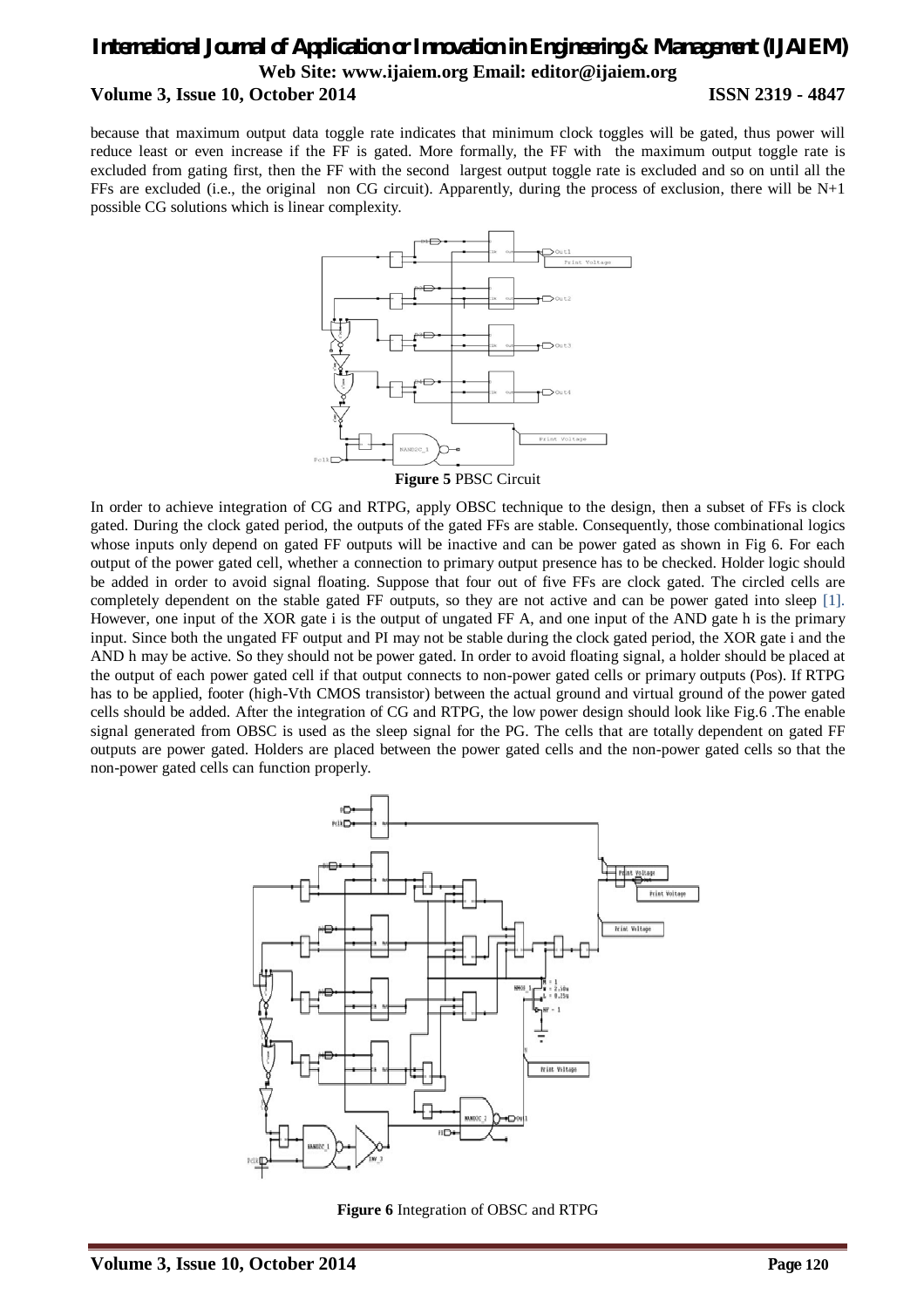because that maximum output data toggle rate indicates that minimum clock toggles will be gated, thus power will reduce least or even increase if the FF is gated. More formally, the FF with the maximum output toggle rate is excluded from gating first, then the FF with the second largest output toggle rate is excluded and so on until all the FFs are excluded (i.e., the original non CG circuit). Apparently, during the process of exclusion, there will be  $N+1$ possible CG solutions which is linear complexity.



**Figure 5** PBSC Circuit

In order to achieve integration of CG and RTPG, apply OBSC technique to the design, then a subset of FFs is clock gated. During the clock gated period, the outputs of the gated FFs are stable. Consequently, those combinational logics whose inputs only depend on gated FF outputs will be inactive and can be power gated as shown in Fig 6. For each output of the power gated cell, whether a connection to primary output presence has to be checked. Holder logic should be added in order to avoid signal floating. Suppose that four out of five FFs are clock gated. The circled cells are completely dependent on the stable gated FF outputs, so they are not active and can be power gated into sleep [1]. However, one input of the XOR gate i is the output of ungated FF A, and one input of the AND gate h is the primary input. Since both the ungated FF output and PI may not be stable during the clock gated period, the XOR gate i and the AND h may be active. So they should not be power gated. In order to avoid floating signal, a holder should be placed at the output of each power gated cell if that output connects to non-power gated cells or primary outputs (Pos). If RTPG has to be applied, footer (high-Vth CMOS transistor) between the actual ground and virtual ground of the power gated cells should be added. After the integration of CG and RTPG, the low power design should look like Fig.6 .The enable signal generated from OBSC is used as the sleep signal for the PG. The cells that are totally dependent on gated FF outputs are power gated. Holders are placed between the power gated cells and the non-power gated cells so that the non-power gated cells can function properly.



**Figure 6** Integration of OBSC and RTPG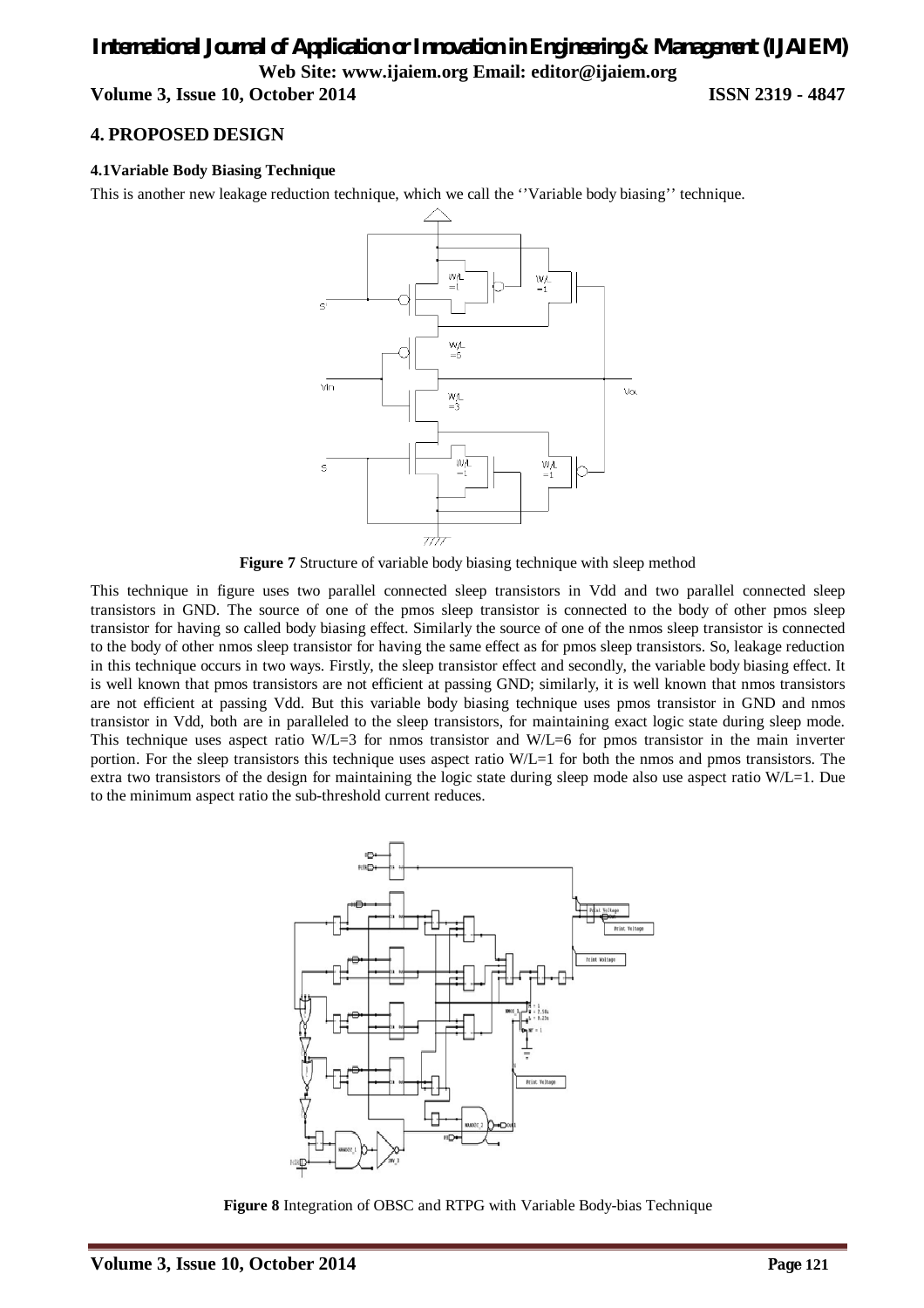#### **4. PROPOSED DESIGN**

#### **4.1Variable Body Biasing Technique**

This is another new leakage reduction technique, which we call the ''Variable body biasing'' technique.



**Figure 7** Structure of variable body biasing technique with sleep method

This technique in figure uses two parallel connected sleep transistors in Vdd and two parallel connected sleep transistors in GND. The source of one of the pmos sleep transistor is connected to the body of other pmos sleep transistor for having so called body biasing effect. Similarly the source of one of the nmos sleep transistor is connected to the body of other nmos sleep transistor for having the same effect as for pmos sleep transistors. So, leakage reduction in this technique occurs in two ways. Firstly, the sleep transistor effect and secondly, the variable body biasing effect. It is well known that pmos transistors are not efficient at passing GND; similarly, it is well known that nmos transistors are not efficient at passing Vdd. But this variable body biasing technique uses pmos transistor in GND and nmos transistor in Vdd, both are in paralleled to the sleep transistors, for maintaining exact logic state during sleep mode. This technique uses aspect ratio  $W/L=3$  for nmos transistor and  $W/L=6$  for pmos transistor in the main inverter portion. For the sleep transistors this technique uses aspect ratio  $W/L=1$  for both the nmos and pmos transistors. The extra two transistors of the design for maintaining the logic state during sleep mode also use aspect ratio W/L=1. Due to the minimum aspect ratio the sub-threshold current reduces.



**Figure 8** Integration of OBSC and RTPG with Variable Body-bias Technique